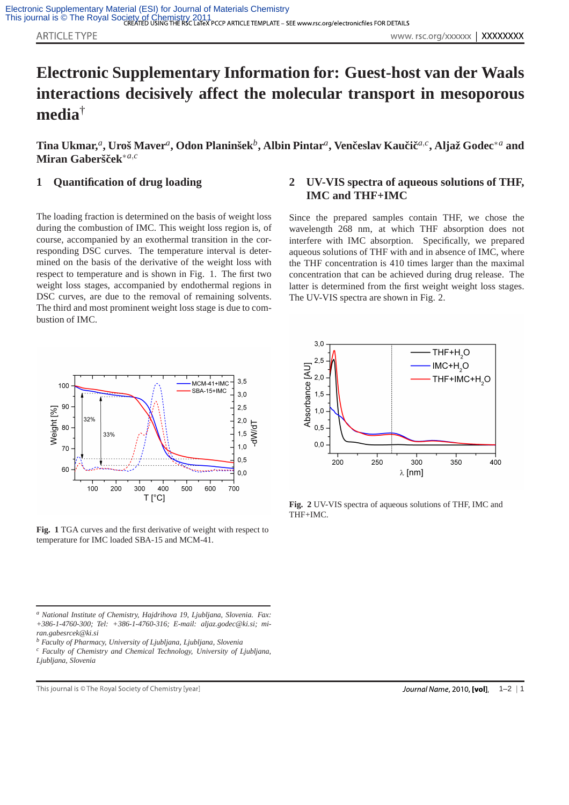## **Electronic Supplementary Information for: Guest-host van der Waals interactions decisively affect the molecular transport in mesoporous media**†

Tina Ukmar, ${}^a$ , Uroš Maver ${}^a$ , Odon Planinšek ${}^b,$  Albin Pintar ${}^a,$  Venčeslav Kaučič ${}^{a,c},$  Aljaž Godec ${}^*{}^a$  and **Miran Gabersˇcek ˇ** ∗*a*,*c*

## **1 Quantification of drug loading**

The loading fraction is determined on the basis of weight loss during the combustion of IMC. This weight loss region is, of course, accompanied by an exothermal transition in the corresponding DSC curves. The temperature interval is determined on the basis of the derivative of the weight loss with respect to temperature and is shown in Fig. 1. The first two weight loss stages, accompanied by endothermal regions in DSC curves, are due to the removal of remaining solvents. The third and most prominent weight loss stage is due to combustion of IMC.

## **2 UV-VIS spectra of aqueous solutions of THF, IMC and THF+IMC**

Since the prepared samples contain THF, we chose the wavelength 268 nm, at which THF absorption does not interfere with IMC absorption. Specifically, we prepared aqueous solutions of THF with and in absence of IMC, where the THF concentration is 410 times larger than the maximal concentration that can be achieved during drug release. The latter is determined from the first weight weight loss stages. The UV-VIS spectra are shown in Fig. 2.



**Fig. 1** TGA curves and the first derivative of weight with respect to temperature for IMC loaded SBA-15 and MCM-41.

*<sup>a</sup> National Institute of Chemistry, Hajdrihova 19, Ljubljana, Slovenia. Fax: +386-1-4760-300; Tel: +386-1-4760-316; E-mail: aljaz.godec@ki.si; miran.gabesrcek@ki.si*

*<sup>c</sup> Faculty of Chemistry and Chemical Technology, University of Ljubljana, Ljubljana, Slovenia*

This journal is © The Royal Society of Chemistry [year]



**Fig. 2** UV-VIS spectra of aqueous solutions of THF, IMC and THF+IMC.

*<sup>b</sup> Faculty of Pharmacy, University of Ljubljana, Ljubljana, Slovenia*